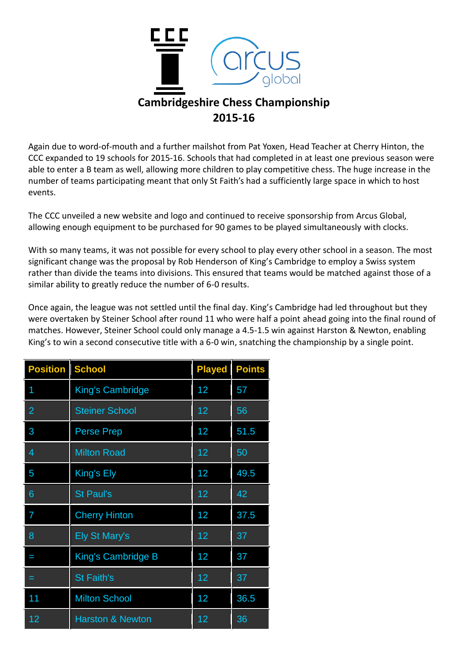

Again due to word-of-mouth and a further mailshot from Pat Yoxen, Head Teacher at Cherry Hinton, the CCC expanded to 19 schools for 2015-16. Schools that had completed in at least one previous season were able to enter a B team as well, allowing more children to play competitive chess. The huge increase in the number of teams participating meant that only St Faith's had a sufficiently large space in which to host events.

The CCC unveiled a new website and logo and continued to receive sponsorship from Arcus Global, allowing enough equipment to be purchased for 90 games to be played simultaneously with clocks.

With so many teams, it was not possible for every school to play every other school in a season. The most significant change was the proposal by Rob Henderson of King's Cambridge to employ a Swiss system rather than divide the teams into divisions. This ensured that teams would be matched against those of a similar ability to greatly reduce the number of 6-0 results.

Once again, the league was not settled until the final day. King's Cambridge had led throughout but they were overtaken by Steiner School after round 11 who were half a point ahead going into the final round of matches. However, Steiner School could only manage a 4.5-1.5 win against Harston & Newton, enabling King's to win a second consecutive title with a 6-0 win, snatching the championship by a single point.

| <b>Position</b> | <b>School</b>               | <b>Played</b> | <b>Points</b> |
|-----------------|-----------------------------|---------------|---------------|
| 1               | <b>King's Cambridge</b>     | 12            | 57            |
| $\overline{2}$  | <b>Steiner School</b>       | 12            | 56            |
| 3               | <b>Perse Prep</b>           | 12            | 51.5          |
| $\overline{4}$  | <b>Milton Road</b>          | 12            | 50            |
| 5               | King's Ely                  | 12            | 49.5          |
| 6               | <b>St Paul's</b>            | 12            | 42            |
| 7               | <b>Cherry Hinton</b>        | 12            | 37.5          |
| 8               | <b>Ely St Mary's</b>        | 12            | 37            |
| I               | King's Cambridge B          | 12            | 37            |
| =               | <b>St Faith's</b>           | 12            | 37            |
| 11              | <b>Milton School</b>        | 12            | 36.5          |
| 12              | <b>Harston &amp; Newton</b> | 12            | 36            |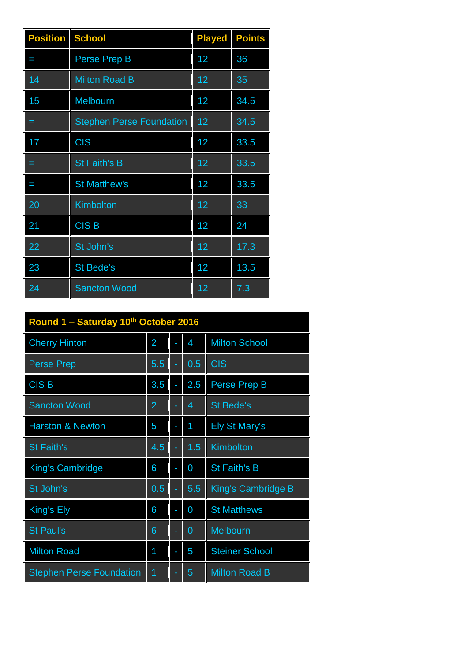| <b>Position</b> | <b>School</b>                   | <b>Played</b> | <b>Points</b> |
|-----------------|---------------------------------|---------------|---------------|
| I               | Perse Prep B                    | 12            | 36            |
| 14              | <b>Milton Road B</b>            | 12            | 35            |
| 15              | Melbourn                        | 12            | 34.5          |
| =               | <b>Stephen Perse Foundation</b> | 12            | 34.5          |
| 17              | <b>CIS</b>                      | 12            | 33.5          |
| =               | <b>St Faith's B</b>             | 12            | 33.5          |
| I               | <b>St Matthew's</b>             | 12            | 33.5          |
| 20              | Kimbolton                       | 12            | 33            |
| 21              | <b>CISB</b>                     | 12            | 24            |
| 22              | St John's                       | 12            | 17.3          |
| 23              | <b>St Bede's</b>                | 12            | 13.5          |
| 24              | <b>Sancton Wood</b>             | 12            | 7.3           |

| Round 1 - Saturday 10th October 2016 |                |  |                |                       |  |  |
|--------------------------------------|----------------|--|----------------|-----------------------|--|--|
| <b>Cherry Hinton</b>                 | 2              |  | 4              | <b>Milton School</b>  |  |  |
| <b>Perse Prep</b>                    | 5.5            |  | 0.5            | <b>CIS</b>            |  |  |
| <b>CISB</b>                          | 3.5            |  | 2.5            | Perse Prep B          |  |  |
| <b>Sancton Wood</b>                  | $\overline{2}$ |  | 4              | <b>St Bede's</b>      |  |  |
| <b>Harston &amp; Newton</b>          | 5              |  | 1              | <b>Ely St Mary's</b>  |  |  |
| <b>St Faith's</b>                    | 4.5            |  | 1.5            | Kimbolton             |  |  |
| King's Cambridge                     | 6              |  | 0              | <b>St Faith's B</b>   |  |  |
| St John's                            | 0.5            |  | 5.5            | King's Cambridge B    |  |  |
| King's Ely                           | 6              |  | 0              | <b>St Matthews</b>    |  |  |
| <b>St Paul's</b>                     | 6              |  | $\overline{0}$ | <b>Melbourn</b>       |  |  |
| <b>Milton Road</b>                   | 1              |  | 5              | <b>Steiner School</b> |  |  |
| <b>Stephen Perse Foundation</b>      | 1              |  | 5              | <b>Milton Road B</b>  |  |  |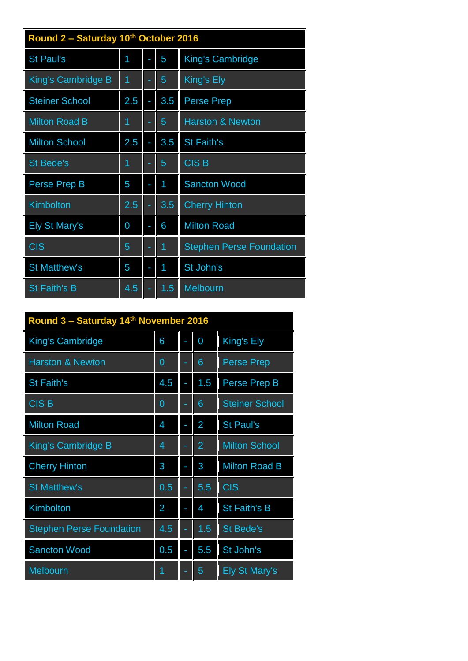| Round 2 - Saturday 10th October 2016 |     |    |     |                                 |  |  |  |  |
|--------------------------------------|-----|----|-----|---------------------------------|--|--|--|--|
| <b>St Paul's</b>                     | 1   |    | 5   | King's Cambridge                |  |  |  |  |
| King's Cambridge B                   | 1   | ٠  | 5   | King's Ely                      |  |  |  |  |
| <b>Steiner School</b>                | 2.5 |    | 3.5 | <b>Perse Prep</b>               |  |  |  |  |
| <b>Milton Road B</b>                 | 1   | ٠  | 5   | <b>Harston &amp; Newton</b>     |  |  |  |  |
| <b>Milton School</b>                 | 2.5 |    | 3.5 | <b>St Faith's</b>               |  |  |  |  |
| <b>St Bede's</b>                     | 1   | ٠  | 5   | <b>CISB</b>                     |  |  |  |  |
| <b>Perse Prep B</b>                  | 5   | f, | 1   | <b>Sancton Wood</b>             |  |  |  |  |
| Kimbolton                            | 2.5 |    | 3.5 | <b>Cherry Hinton</b>            |  |  |  |  |
| <b>Ely St Mary's</b>                 | 0   |    | 6   | <b>Milton Road</b>              |  |  |  |  |
| <b>CIS</b>                           | 5   |    | 1   | <b>Stephen Perse Foundation</b> |  |  |  |  |
| <b>St Matthew's</b>                  | 5   |    | 1   | St John's                       |  |  |  |  |
| <b>St Faith's B</b>                  | 4.5 |    | 1.5 | Melbourn                        |  |  |  |  |

| Round 3 - Saturday 14th November 2016 |                |    |                |                       |  |
|---------------------------------------|----------------|----|----------------|-----------------------|--|
| King's Cambridge                      | 6              | L. | 0              | King's Ely            |  |
| <b>Harston &amp; Newton</b>           | 0              | ٠  | 6              | <b>Perse Prep</b>     |  |
| <b>St Faith's</b>                     | 4.5            | ÷, | 1.5            | Perse Prep B          |  |
| <b>CISB</b>                           | 0              |    | 6              | <b>Steiner School</b> |  |
| <b>Milton Road</b>                    | 4              |    | $\overline{2}$ | <b>St Paul's</b>      |  |
| <b>King's Cambridge B</b>             | 4              | ٠  | $\overline{2}$ | <b>Milton School</b>  |  |
| <b>Cherry Hinton</b>                  | 3              |    | 3              | <b>Milton Road B</b>  |  |
| <b>St Matthew's</b>                   | 0.5            | ÷  | 5.5            | <b>CIS</b>            |  |
| Kimbolton                             | $\overline{2}$ |    | 4              | <b>St Faith's B</b>   |  |
| <b>Stephen Perse Foundation</b>       | 4.5            | ۰  | 1.5            | <b>St Bede's</b>      |  |
| <b>Sancton Wood</b>                   | 0.5            |    | 5.5            | St John's             |  |
| <b>Melbourn</b>                       |                |    | 5              | <b>Ely St Mary's</b>  |  |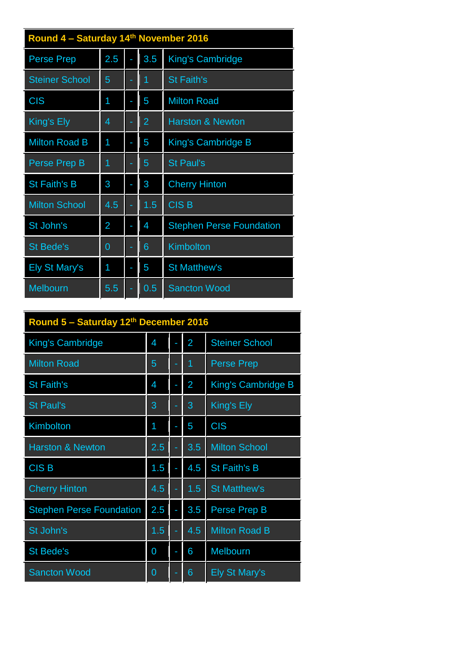| Round 4 - Saturday 14th November 2016 |     |   |                |                                 |  |  |  |
|---------------------------------------|-----|---|----------------|---------------------------------|--|--|--|
| <b>Perse Prep</b>                     | 2.5 |   | 3.5            | King's Cambridge                |  |  |  |
| <b>Steiner School</b>                 | 5   | ۰ | 1              | <b>St Faith's</b>               |  |  |  |
| <b>CIS</b>                            | 1   |   | 5              | <b>Milton Road</b>              |  |  |  |
| King's Ely                            | 4   |   | $\overline{2}$ | <b>Harston &amp; Newton</b>     |  |  |  |
| <b>Milton Road B</b>                  | 1   |   | 5              | <b>King's Cambridge B</b>       |  |  |  |
| Perse Prep B                          | 1   |   | 5              | <b>St Paul's</b>                |  |  |  |
| <b>St Faith's B</b>                   | 3   |   | 3              | <b>Cherry Hinton</b>            |  |  |  |
| <b>Milton School</b>                  | 4.5 |   | 1.5            | CIS <sub>B</sub>                |  |  |  |
| St John's                             | 2   |   | 4              | <b>Stephen Perse Foundation</b> |  |  |  |
| <b>St Bede's</b>                      | 0   |   | 6              | Kimbolton                       |  |  |  |
| <b>Ely St Mary's</b>                  | 1   |   | 5              | <b>St Matthew's</b>             |  |  |  |
| Melbourn                              | 5.5 |   | 0.5            | <b>Sancton Wood</b>             |  |  |  |

| Round 5 - Saturday 12th December 2016 |     |  |                |                       |  |
|---------------------------------------|-----|--|----------------|-----------------------|--|
| King's Cambridge                      | 4   |  | $\overline{2}$ | <b>Steiner School</b> |  |
| <b>Milton Road</b>                    | 5   |  | 1              | <b>Perse Prep</b>     |  |
| <b>St Faith's</b>                     | 4   |  | $\overline{2}$ | King's Cambridge B    |  |
| <b>St Paul's</b>                      | 3   |  | 3              | King's Ely            |  |
| <b>Kimbolton</b>                      | 1   |  | 5              | <b>CIS</b>            |  |
| <b>Harston &amp; Newton</b>           | 2.5 |  | 3.5            | <b>Milton School</b>  |  |
| <b>CISB</b>                           | 1.5 |  | 4.5            | <b>St Faith's B</b>   |  |
| <b>Cherry Hinton</b>                  | 4.5 |  | 1.5            | <b>St Matthew's</b>   |  |
| <b>Stephen Perse Foundation</b>       | 2.5 |  | 3.5            | Perse Prep B          |  |
| St John's                             | 1.5 |  | 4.5            | <b>Milton Road B</b>  |  |
| <b>St Bede's</b>                      | 0   |  | 6              | <b>Melbourn</b>       |  |
| <b>Sancton Wood</b>                   | 0   |  | 6              | <b>Ely St Mary's</b>  |  |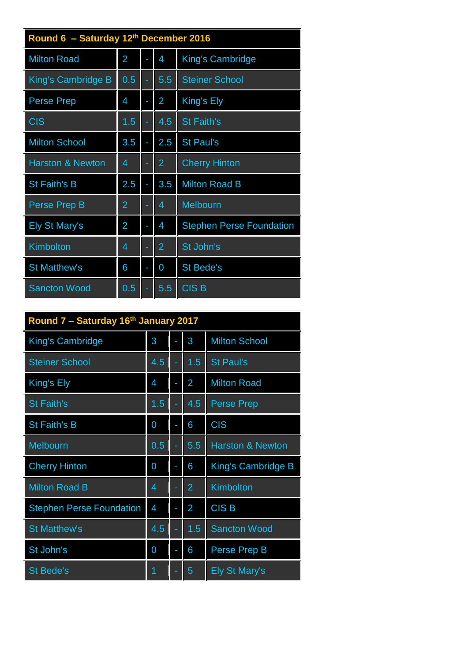| Round 6 - Saturday 12th December 2016 |                |  |                |                                 |  |  |
|---------------------------------------|----------------|--|----------------|---------------------------------|--|--|
| <b>Milton Road</b>                    | $\overline{2}$ |  | 4              | King's Cambridge                |  |  |
| King's Cambridge B                    | 0.5            |  | 5.5            | <b>Steiner School</b>           |  |  |
| <b>Perse Prep</b>                     | 4              |  | $\overline{2}$ | King's Ely                      |  |  |
| <b>CIS</b>                            | 1.5            |  | 4.5            | <b>St Faith's</b>               |  |  |
| <b>Milton School</b>                  | 3.5            |  | 2.5            | <b>St Paul's</b>                |  |  |
| <b>Harston &amp; Newton</b>           | 4              |  | $\overline{2}$ | <b>Cherry Hinton</b>            |  |  |
| <b>St Faith's B</b>                   | 2.5            |  | 3.5            | <b>Milton Road B</b>            |  |  |
| Perse Prep B                          | $\overline{2}$ |  | 4              | <b>Melbourn</b>                 |  |  |
| <b>Ely St Mary's</b>                  | $\overline{2}$ |  | 4              | <b>Stephen Perse Foundation</b> |  |  |
| Kimbolton                             | 4              |  | $\overline{2}$ | St John's                       |  |  |
| <b>St Matthew's</b>                   | 6              |  | 0              | <b>St Bede's</b>                |  |  |
| <b>Sancton Wood</b>                   | 0.5            |  | 5.5            | <b>CISB</b>                     |  |  |

| Round 7 - Saturday 16th January 2017 |     |  |                |                             |  |  |
|--------------------------------------|-----|--|----------------|-----------------------------|--|--|
| <b>King's Cambridge</b>              | 3   |  | 3              | <b>Milton School</b>        |  |  |
| <b>Steiner School</b>                | 4.5 |  | 1.5            | <b>St Paul's</b>            |  |  |
| King's Ely                           | 4   |  | $\overline{2}$ | <b>Milton Road</b>          |  |  |
| <b>St Faith's</b>                    | 1.5 |  | 4.5            | <b>Perse Prep</b>           |  |  |
| <b>St Faith's B</b>                  | 0   |  | 6              | <b>CIS</b>                  |  |  |
| <b>Melbourn</b>                      | 0.5 |  | 5.5            | <b>Harston &amp; Newton</b> |  |  |
| <b>Cherry Hinton</b>                 | 0   |  | 6              | King's Cambridge B          |  |  |
| <b>Milton Road B</b>                 | 4   |  | $\overline{2}$ | Kimbolton                   |  |  |
| <b>Stephen Perse Foundation</b>      | 4   |  | 2              | <b>CISB</b>                 |  |  |
| <b>St Matthew's</b>                  | 4.5 |  | 1.5            | <b>Sancton Wood</b>         |  |  |
| St John's                            | 0   |  | 6              | Perse Prep B                |  |  |
| <b>St Bede's</b>                     | 1   |  | 5              | <b>Ely St Mary's</b>        |  |  |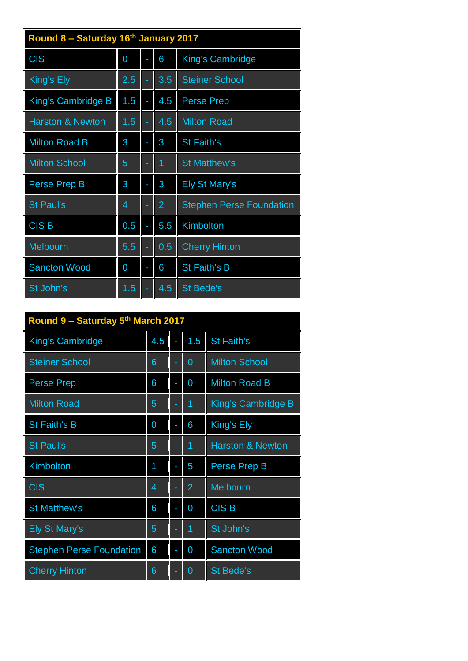| Round 8 - Saturday 16th January 2017 |     |  |                |                                 |  |  |  |
|--------------------------------------|-----|--|----------------|---------------------------------|--|--|--|
| <b>CIS</b>                           | 0   |  | 6              | King's Cambridge                |  |  |  |
| King's Ely                           | 2.5 |  | 3.5            | <b>Steiner School</b>           |  |  |  |
| King's Cambridge B                   | 1.5 |  | 4.5            | <b>Perse Prep</b>               |  |  |  |
| <b>Harston &amp; Newton</b>          | 1.5 |  | 4.5            | <b>Milton Road</b>              |  |  |  |
| <b>Milton Road B</b>                 | 3   |  | 3              | <b>St Faith's</b>               |  |  |  |
| <b>Milton School</b>                 | 5   |  | 1              | <b>St Matthew's</b>             |  |  |  |
| Perse Prep B                         | 3   |  | 3              | <b>Ely St Mary's</b>            |  |  |  |
| <b>St Paul's</b>                     | 4   |  | $\overline{2}$ | <b>Stephen Perse Foundation</b> |  |  |  |
| <b>CISB</b>                          | 0.5 |  | 5.5            | Kimbolton                       |  |  |  |
| <b>Melbourn</b>                      | 5.5 |  | 0.5            | <b>Cherry Hinton</b>            |  |  |  |
| <b>Sancton Wood</b>                  | 0   |  | 6              | <b>St Faith's B</b>             |  |  |  |
| St John's                            | 1.5 |  | 4.5            | <b>St Bede's</b>                |  |  |  |

| Round 9 - Saturday 5th March 2017 |     |    |                |                             |  |  |
|-----------------------------------|-----|----|----------------|-----------------------------|--|--|
| King's Cambridge                  | 4.5 |    | 1.5            | <b>St Faith's</b>           |  |  |
| <b>Steiner School</b>             | 6   |    | $\overline{0}$ | <b>Milton School</b>        |  |  |
| <b>Perse Prep</b>                 | 6   | f, | 0              | <b>Milton Road B</b>        |  |  |
| <b>Milton Road</b>                | 5   | ۰  | 1              | King's Cambridge B          |  |  |
| <b>St Faith's B</b>               | 0   |    | 6              | King's Ely                  |  |  |
| <b>St Paul's</b>                  | 5   | ٠  | 1              | <b>Harston &amp; Newton</b> |  |  |
| <b>Kimbolton</b>                  | 1   |    | 5              | Perse Prep B                |  |  |
| <b>CIS</b>                        | 4   |    | $\overline{2}$ | Melbourn                    |  |  |
| <b>St Matthew's</b>               | 6   |    | $\overline{0}$ | <b>CISB</b>                 |  |  |
| <b>Ely St Mary's</b>              | 5   |    | 1              | St John's                   |  |  |
| <b>Stephen Perse Foundation</b>   | 6   |    | 0              | <b>Sancton Wood</b>         |  |  |
| <b>Cherry Hinton</b>              | 6   |    | 0              | <b>St Bede's</b>            |  |  |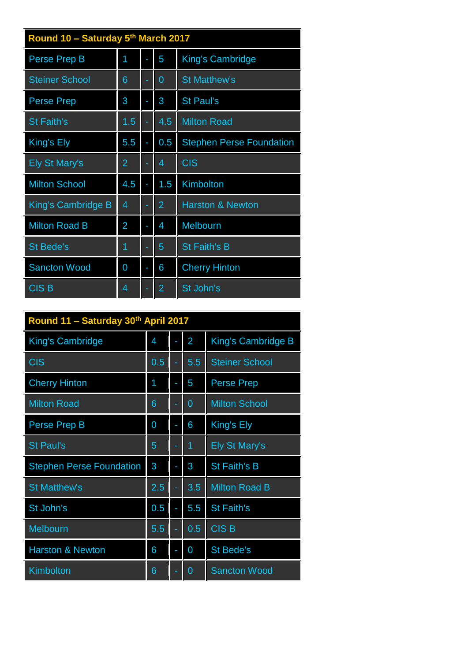| Round 10 - Saturday 5th March 2017 |                |   |                |                                 |  |  |
|------------------------------------|----------------|---|----------------|---------------------------------|--|--|
| Perse Prep B                       | 1              |   | 5              | King's Cambridge                |  |  |
| <b>Steiner School</b>              | 6              |   | $\overline{0}$ | <b>St Matthew's</b>             |  |  |
| <b>Perse Prep</b>                  | 3              |   | 3              | <b>St Paul's</b>                |  |  |
| <b>St Faith's</b>                  | 1.5            | ٠ | 4.5            | <b>Milton Road</b>              |  |  |
| King's Ely                         | 5.5            |   | 0.5            | <b>Stephen Perse Foundation</b> |  |  |
| <b>Ely St Mary's</b>               | $\overline{2}$ |   | 4              | <b>CIS</b>                      |  |  |
| <b>Milton School</b>               | 4.5            |   | 1.5            | Kimbolton                       |  |  |
| King's Cambridge B                 | 4              |   | 2              | <b>Harston &amp; Newton</b>     |  |  |
| <b>Milton Road B</b>               | 2              |   | 4              | <b>Melbourn</b>                 |  |  |
| <b>St Bede's</b>                   | 1              |   | 5              | <b>St Faith's B</b>             |  |  |
| <b>Sancton Wood</b>                | 0              |   | 6              | <b>Cherry Hinton</b>            |  |  |
| <b>CISB</b>                        | 4              |   | 2              | St John's                       |  |  |

| Round 11 - Saturday 30th April 2017 |     |  |                |                       |  |  |
|-------------------------------------|-----|--|----------------|-----------------------|--|--|
| <b>King's Cambridge</b>             | 4   |  | $\overline{2}$ | King's Cambridge B    |  |  |
| <b>CIS</b>                          | 0.5 |  | 5.5            | <b>Steiner School</b> |  |  |
| <b>Cherry Hinton</b>                | 1   |  | 5              | <b>Perse Prep</b>     |  |  |
| <b>Milton Road</b>                  | 6   |  | 0              | <b>Milton School</b>  |  |  |
| Perse Prep B                        | 0   |  | 6              | King's Ely            |  |  |
| <b>St Paul's</b>                    | 5   |  | 1              | <b>Ely St Mary's</b>  |  |  |
| <b>Stephen Perse Foundation</b>     | 3   |  | 3              | <b>St Faith's B</b>   |  |  |
| <b>St Matthew's</b>                 | 2.5 |  | 3.5            | <b>Milton Road B</b>  |  |  |
| St John's                           | 0.5 |  | 5.5            | <b>St Faith's</b>     |  |  |
| <b>Melbourn</b>                     | 5.5 |  | 0.5            | <b>CISB</b>           |  |  |
| <b>Harston &amp; Newton</b>         | 6   |  | 0              | <b>St Bede's</b>      |  |  |
| <b>Kimbolton</b>                    | 6   |  | 0              | <b>Sancton Wood</b>   |  |  |